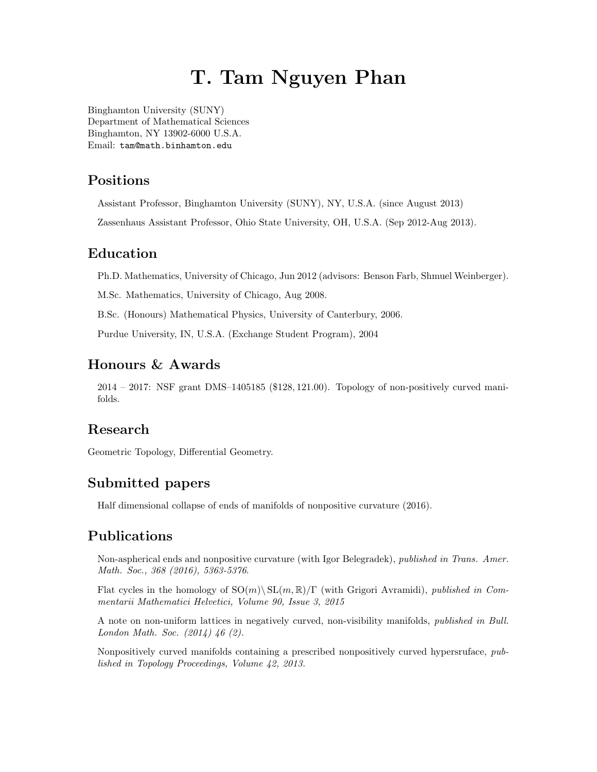# T. Tam Nguyen Phan

[Binghamton University \(SUNY\)](http://www.binghamton.edu/) [Department of Mathematical Sciences](http://www.math.binghamton.edu/) Binghamton, NY 13902-6000 U.S.A. Email: [tam@math.binhamton.edu](mailto:tam@math.binghamton.edu)

### Positions

Assistant Professor, Binghamton University (SUNY), NY, U.S.A. (since August 2013)

Zassenhaus Assistant Professor, Ohio State University, OH, U.S.A. (Sep 2012-Aug 2013).

## Education

Ph.D. Mathematics, University of Chicago, Jun 2012 (advisors: Benson Farb, Shmuel Weinberger).

M.Sc. Mathematics, University of Chicago, Aug 2008.

B.Sc. (Honours) Mathematical Physics, University of Canterbury, 2006.

Purdue University, IN, U.S.A. (Exchange Student Program), 2004

### Honours & Awards

2014 – 2017: NSF grant DMS–1405185 (\$128, 121.00). Topology of non-positively curved manifolds.

## Research

Geometric Topology, Differential Geometry.

#### Submitted papers

Half dimensional collapse of ends of manifolds of nonpositive curvature (2016).

#### Publications

Non-aspherical ends and nonpositive curvature (with Igor Belegradek), published in Trans. Amer. Math. Soc., 368 (2016), 5363-5376.

Flat cycles in the homology of  $SO(m)\setminus SL(m,\mathbb{R})/\Gamma$  (with Grigori Avramidi), published in Commentarii Mathematici Helvetici, Volume 90, Issue 3, 2015

A note on non-uniform lattices in negatively curved, non-visibility manifolds, published in Bull. London Math. Soc. (2014) 46 (2).

Nonpositively curved manifolds containing a prescribed nonpositively curved hypersruface, published in Topology Proceedings, Volume 42, 2013.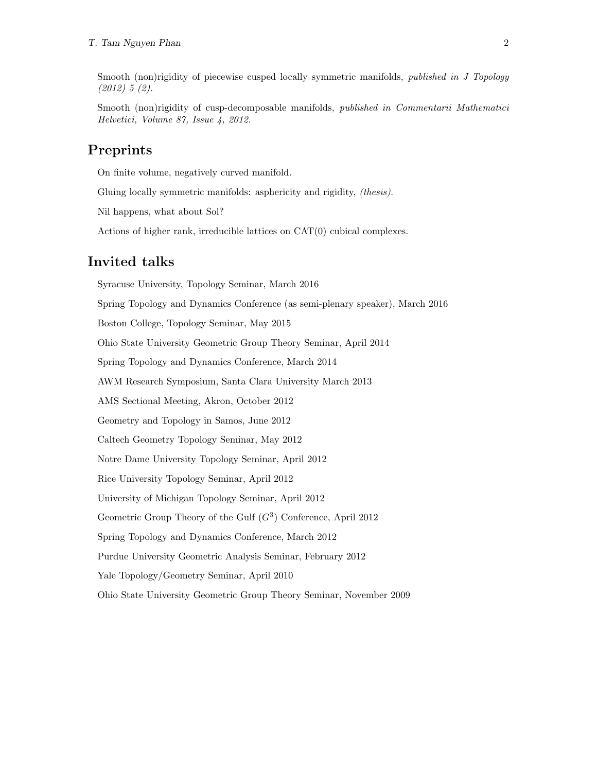Smooth (non)rigidity of piecewise cusped locally symmetric manifolds, *published in J Topology* (2012) 5 (2).

Smooth (non)rigidity of cusp-decomposable manifolds, *published in Commentarii Mathematici* Helvetici, Volume 87, Issue 4, 2012.

### Preprints

On finite volume, negatively curved manifold.

Gluing locally symmetric manifolds: asphericity and rigidity, (thesis).

Nil happens, what about Sol?

Actions of higher rank, irreducible lattices on CAT(0) cubical complexes.

#### Invited talks

Syracuse University, Topology Seminar, March 2016 Spring Topology and Dynamics Conference (as semi-plenary speaker), March 2016 Boston College, Topology Seminar, May 2015 Ohio State University Geometric Group Theory Seminar, April 2014 Spring Topology and Dynamics Conference, March 2014 AWM Research Symposium, Santa Clara University March 2013 AMS Sectional Meeting, Akron, October 2012 Geometry and Topology in Samos, June 2012 Caltech Geometry Topology Seminar, May 2012 Notre Dame University Topology Seminar, April 2012 Rice University Topology Seminar, April 2012 University of Michigan Topology Seminar, April 2012 Geometric Group Theory of the Gulf  $(G<sup>3</sup>)$  Conference, April 2012 Spring Topology and Dynamics Conference, March 2012 Purdue University Geometric Analysis Seminar, February 2012 Yale Topology/Geometry Seminar, April 2010 Ohio State University Geometric Group Theory Seminar, November 2009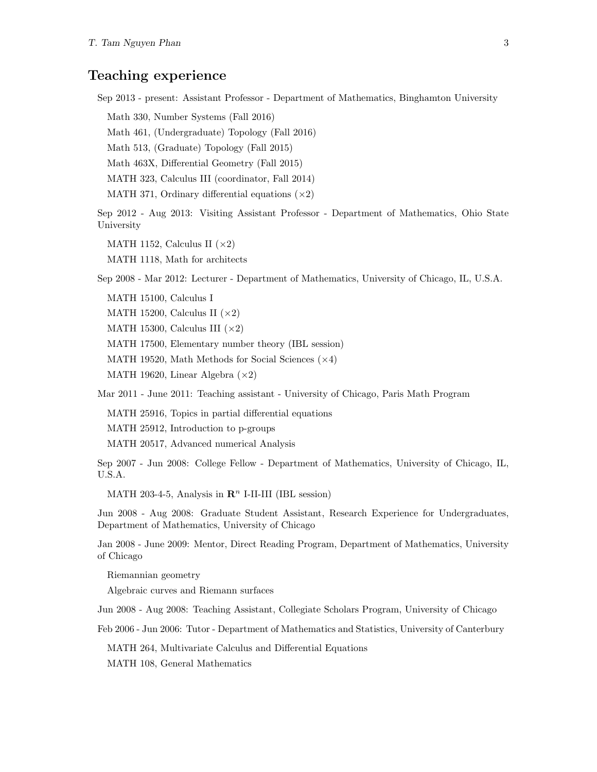#### Teaching experience

Sep 2013 - present: Assistant Professor - Department of Mathematics, Binghamton University

Math 330, Number Systems (Fall 2016)

Math 461, (Undergraduate) Topology (Fall 2016)

Math 513, (Graduate) Topology (Fall 2015)

Math 463X, Differential Geometry (Fall 2015)

MATH 323, Calculus III (coordinator, Fall 2014)

MATH 371, Ordinary differential equations  $(x2)$ 

Sep 2012 - Aug 2013: Visiting Assistant Professor - Department of Mathematics, Ohio State University

MATH 1152, Calculus II  $(\times 2)$ 

MATH 1118, Math for architects

Sep 2008 - Mar 2012: Lecturer - Department of Mathematics, University of Chicago, IL, U.S.A.

MATH 15100, Calculus I

MATH 15200, Calculus II  $(\times 2)$ 

MATH 15300, Calculus III  $(\times 2)$ 

MATH 17500, Elementary number theory (IBL session)

MATH 19520, Math Methods for Social Sciences  $(\times 4)$ 

MATH 19620, Linear Algebra  $(\times 2)$ 

Mar 2011 - June 2011: Teaching assistant - University of Chicago, Paris Math Program

MATH 25916, Topics in partial differential equations

MATH 25912, Introduction to p-groups

MATH 20517, Advanced numerical Analysis

Sep 2007 - Jun 2008: College Fellow - Department of Mathematics, University of Chicago, IL, U.S.A.

MATH 203-4-5, Analysis in  $\mathbb{R}^n$  I-II-III (IBL session)

Jun 2008 - Aug 2008: Graduate Student Assistant, Research Experience for Undergraduates, Department of Mathematics, University of Chicago

Jan 2008 - June 2009: Mentor, Direct Reading Program, Department of Mathematics, University of Chicago

Riemannian geometry

Algebraic curves and Riemann surfaces

Jun 2008 - Aug 2008: Teaching Assistant, Collegiate Scholars Program, University of Chicago

Feb 2006 - Jun 2006: Tutor - Department of Mathematics and Statistics, University of Canterbury

MATH 264, Multivariate Calculus and Differential Equations

MATH 108, General Mathematics